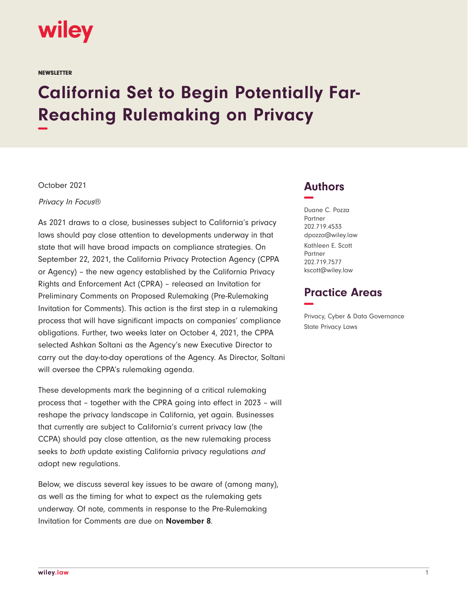

**NEWSLETTER** 

# **California Set to Begin Potentially Far-Reaching Rulemaking on Privacy −**

October 2021

Privacy In Focus®

As 2021 draws to a close, businesses subject to California's privacy laws should pay close attention to developments underway in that state that will have broad impacts on compliance strategies. On September 22, 2021, the California Privacy Protection Agency (CPPA or Agency) – the new agency established by the California Privacy Rights and Enforcement Act (CPRA) – released an Invitation for Preliminary Comments on Proposed Rulemaking (Pre-Rulemaking Invitation for Comments). This action is the first step in a rulemaking process that will have significant impacts on companies' compliance obligations. Further, two weeks later on October 4, 2021, the CPPA selected Ashkan Soltani as the Agency's new Executive Director to carry out the day-to-day operations of the Agency. As Director, Soltani will oversee the CPPA's rulemaking agenda.

These developments mark the beginning of a critical rulemaking process that – together with the CPRA going into effect in 2023 – will reshape the privacy landscape in California, yet again. Businesses that currently are subject to California's current privacy law (the CCPA) should pay close attention, as the new rulemaking process seeks to both update existing California privacy regulations and adopt new regulations.

Below, we discuss several key issues to be aware of (among many), as well as the timing for what to expect as the rulemaking gets underway. Of note, comments in response to the Pre-Rulemaking Invitation for Comments are due on **November 8**.

## **Authors −**

Duane C. Pozza Partner 202.719.4533 dpozza@wiley.law Kathleen E. Scott Partner 202.719.7577 kscott@wiley.law

## **Practice Areas −**

Privacy, Cyber & Data Governance State Privacy Laws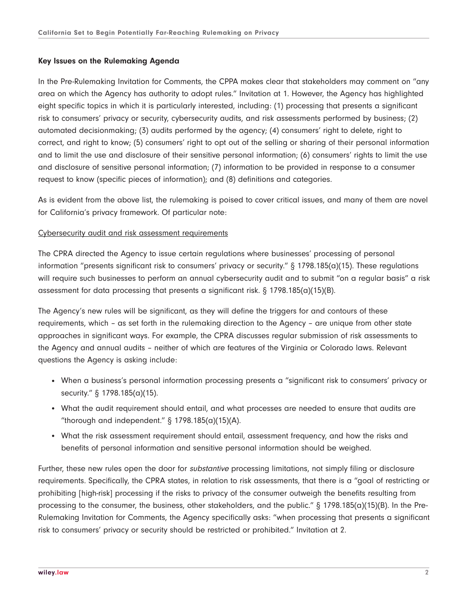#### **Key Issues on the Rulemaking Agenda**

In the Pre-Rulemaking Invitation for Comments, the CPPA makes clear that stakeholders may comment on "any area on which the Agency has authority to adopt rules." Invitation at 1. However, the Agency has highlighted eight specific topics in which it is particularly interested, including: (1) processing that presents a significant risk to consumers' privacy or security, cybersecurity audits, and risk assessments performed by business; (2) automated decisionmaking; (3) audits performed by the agency; (4) consumers' right to delete, right to correct, and right to know; (5) consumers' right to opt out of the selling or sharing of their personal information and to limit the use and disclosure of their sensitive personal information; (6) consumers' rights to limit the use and disclosure of sensitive personal information; (7) information to be provided in response to a consumer request to know (specific pieces of information); and (8) definitions and categories.

As is evident from the above list, the rulemaking is poised to cover critical issues, and many of them are novel for California's privacy framework. Of particular note:

#### Cybersecurity audit and risk assessment requirements

The CPRA directed the Agency to issue certain regulations where businesses' processing of personal information "presents significant risk to consumers' privacy or security." § 1798.185(a)(15). These regulations will require such businesses to perform an annual cybersecurity audit and to submit "on a regular basis" a risk assessment for data processing that presents a significant risk.  $\S 1798.185(a)(15)(B)$ .

The Agency's new rules will be significant, as they will define the triggers for and contours of these requirements, which – as set forth in the rulemaking direction to the Agency – are unique from other state approaches in significant ways. For example, the CPRA discusses regular submission of risk assessments to the Agency and annual audits – neither of which are features of the Virginia or Colorado laws. Relevant questions the Agency is asking include:

- When a business's personal information processing presents a "significant risk to consumers' privacy or security." § 1798.185(a)(15).
- What the audit requirement should entail, and what processes are needed to ensure that audits are "thorough and independent."  $\S$  1798.185(a)(15)(A).
- What the risk assessment requirement should entail, assessment frequency, and how the risks and benefits of personal information and sensitive personal information should be weighed.

Further, these new rules open the door for substantive processing limitations, not simply filing or disclosure requirements. Specifically, the CPRA states, in relation to risk assessments, that there is a "goal of restricting or prohibiting [high-risk] processing if the risks to privacy of the consumer outweigh the benefits resulting from processing to the consumer, the business, other stakeholders, and the public." § 1798.185(a)(15)(B). In the Pre-Rulemaking Invitation for Comments, the Agency specifically asks: "when processing that presents a significant risk to consumers' privacy or security should be restricted or prohibited." Invitation at 2.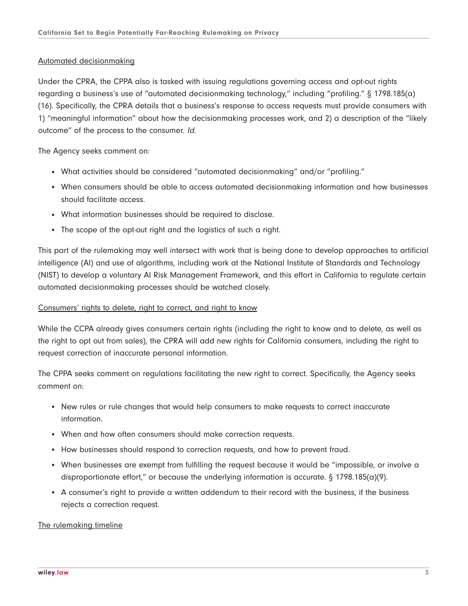#### Automated decisionmaking

Under the CPRA, the CPPA also is tasked with issuing regulations governing access and opt-out rights regarding a business's use of "automated decisionmaking technology," including "profiling." § 1798.185(a) (16). Specifically, the CPRA details that a business's response to access requests must provide consumers with 1) "meaningful information" about how the decisionmaking processes work, and 2) a description of the "likely outcome" of the process to the consumer. Id.

The Agency seeks comment on:

- What activities should be considered "automated decisionmaking" and/or "profiling."
- When consumers should be able to access automated decisionmaking information and how businesses should facilitate access.
- What information businesses should be required to disclose.
- The scope of the opt-out right and the logistics of such a right.

This part of the rulemaking may well intersect with work that is being done to develop approaches to artificial intelligence (AI) and use of algorithms, including work at the National Institute of Standards and Technology (NIST) to develop a voluntary AI Risk Management Framework, and this effort in California to regulate certain automated decisionmaking processes should be watched closely.

### Consumers' rights to delete, right to correct, and right to know

While the CCPA already gives consumers certain rights (including the right to know and to delete, as well as the right to opt out from sales), the CPRA will add new rights for California consumers, including the right to request correction of inaccurate personal information.

The CPPA seeks comment on regulations facilitating the new right to correct. Specifically, the Agency seeks comment on:

- New rules or rule changes that would help consumers to make requests to correct inaccurate information.
- When and how often consumers should make correction requests.
- How businesses should respond to correction requests, and how to prevent fraud.
- When businesses are exempt from fulfilling the request because it would be "impossible, or involve a disproportionate effort," or because the underlying information is accurate. § 1798.185(a)(9).
- A consumer's right to provide a written addendum to their record with the business, if the business rejects a correction request.

The rulemaking timeline